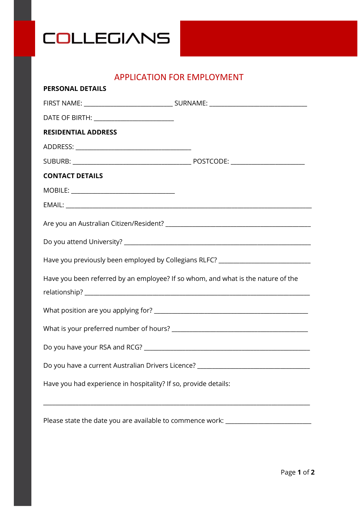

## APPLICATION FOR EMPLOYMENT

| <b>PERSONAL DETAILS</b>                                                          |                                                                                  |
|----------------------------------------------------------------------------------|----------------------------------------------------------------------------------|
|                                                                                  |                                                                                  |
| DATE OF BIRTH: ___________________________                                       |                                                                                  |
| <b>RESIDENTIAL ADDRESS</b>                                                       |                                                                                  |
|                                                                                  |                                                                                  |
|                                                                                  |                                                                                  |
| <b>CONTACT DETAILS</b>                                                           |                                                                                  |
|                                                                                  |                                                                                  |
|                                                                                  |                                                                                  |
|                                                                                  |                                                                                  |
|                                                                                  |                                                                                  |
|                                                                                  | Have you previously been employed by Collegians RLFC? __________________________ |
| Have you been referred by an employee? If so whom, and what is the nature of the |                                                                                  |
|                                                                                  |                                                                                  |
|                                                                                  |                                                                                  |
|                                                                                  |                                                                                  |
| Do you have a current Australian Drivers Licence? ______________________________ |                                                                                  |
| Have you had experience in hospitality? If so, provide details:                  |                                                                                  |
|                                                                                  |                                                                                  |

Please state the date you are available to commence work: \_\_\_\_\_\_\_\_\_\_\_\_\_\_\_\_\_\_\_\_\_\_